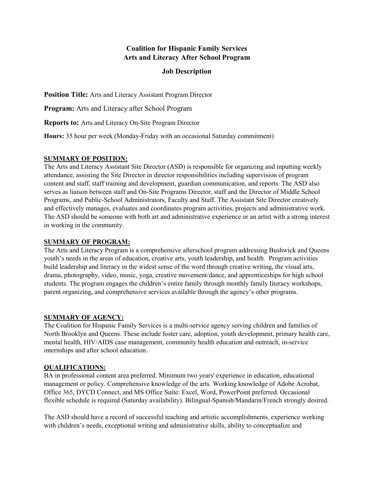# **Coalition for Hispanic Family Services Arts and Literacy After School Program**

### **Job Description**

**Position Title:** Arts and Literacy Assistant Program Director

**Program:** Arts and Literacy after School Program

**Reports to:** Arts and Literacy On-Site Program Director

**Hours:** 35 hour per week (Monday-Friday with an occasional Saturday commitment)

#### **SUMMARY OF POSITION:**

The Arts and Literacy Assistant Site Director (ASD) is responsible for organizing and inputting weekly attendance, assisting the Site Director in director responsibilities including supervision of program content and staff, staff training and development, guardian communication, and reports. The ASD also serves as liaison between staff and On-Site Programs Director, staff and the Director of Middle School Programs, and Public-School Administrators, Faculty and Staff. The Assistant Site Director creatively and effectively manages, evaluates and coordinates program activities, projects and administrative work. The ASD should be someone with both art and administrative experience or an artist with a strong interest in working in the community.

#### **SUMMARY OF PROGRAM:**

The Arts and Literacy Program is a comprehensive afterschool program addressing Bushwick and Queens youth's needs in the areas of education, creative arts, youth leadership, and health. Program activities build leadership and literacy in the widest sense of the word through creative writing, the visual arts, drama, photography, video, music, yoga, creative movement/dance, and apprenticeships for high school students. The program engages the children's entire family through monthly family literacy workshops, parent organizing, and comprehensive services available through the agency's other programs.

### **SUMMARY OF AGENCY:**

The Coalition for Hispanic Family Services is a multi-service agency serving children and families of North Brooklyn and Queens. These include foster care, adoption, youth development, primary health care, mental health, HIV/AIDS case management, community health education and outreach, in-service internships and after school education.

#### **QUALIFICATIONS:**

BA in professional content area preferred. Minimum two years' experience in education, educational management or policy. Comprehensive knowledge of the arts. Working knowledge of Adobe Acrobat, Office 365, DYCD Connect, and MS Office Suite: Excel, Word, PowerPoint preferred. Occasional flexible schedule is required (Saturday availability). Bilingual-Spanish/Mandarin/French strongly desired.

The ASD should have a record of successful teaching and artistic accomplishments, experience working with children's needs, exceptional writing and administrative skills, ability to conceptualize and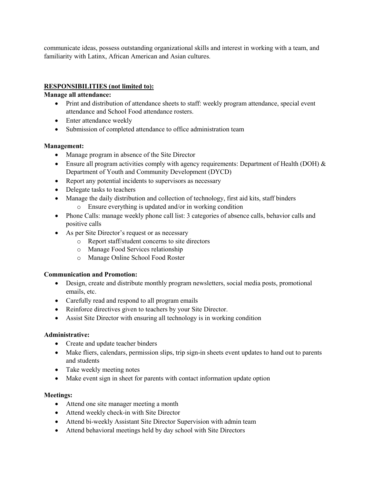communicate ideas, possess outstanding organizational skills and interest in working with a team, and familiarity with Latinx, African American and Asian cultures.

## **RESPONSIBILITIES (not limited to):**

### **Manage all attendance:**

- Print and distribution of attendance sheets to staff: weekly program attendance, special event attendance and School Food attendance rosters.
- Enter attendance weekly
- Submission of completed attendance to office administration team

### **Management:**

- Manage program in absence of the Site Director
- Ensure all program activities comply with agency requirements: Department of Health (DOH) & Department of Youth and Community Development (DYCD)
- Report any potential incidents to supervisors as necessary
- Delegate tasks to teachers
- Manage the daily distribution and collection of technology, first aid kits, staff binders
	- o Ensure everything is updated and/or in working condition
- Phone Calls: manage weekly phone call list: 3 categories of absence calls, behavior calls and positive calls
- As per Site Director's request or as necessary
	- o Report staff/student concerns to site directors
	- o Manage Food Services relationship
	- o Manage Online School Food Roster

### **Communication and Promotion:**

- Design, create and distribute monthly program newsletters, social media posts, promotional emails, etc.
- Carefully read and respond to all program emails
- Reinforce directives given to teachers by your Site Director.
- Assist Site Director with ensuring all technology is in working condition

### **Administrative:**

- Create and update teacher binders
- Make fliers, calendars, permission slips, trip sign-in sheets event updates to hand out to parents and students
- Take weekly meeting notes
- Make event sign in sheet for parents with contact information update option

### **Meetings:**

- Attend one site manager meeting a month
- Attend weekly check-in with Site Director
- Attend bi-weekly Assistant Site Director Supervision with admin team
- Attend behavioral meetings held by day school with Site Directors